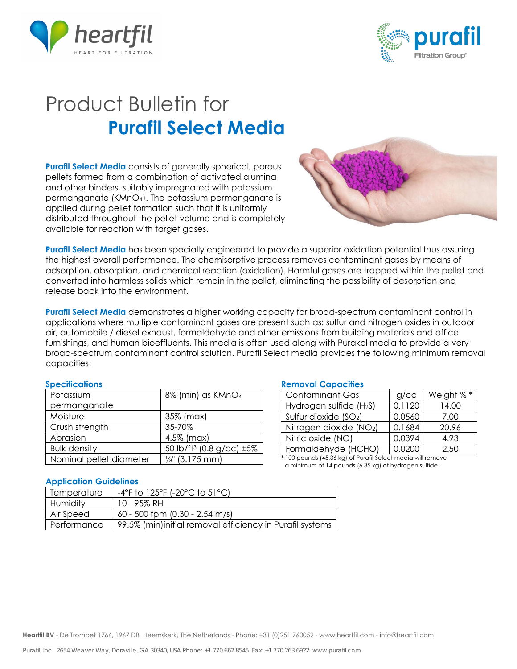



# Product Bulletin for  **Purafil Select Media**

**Purafil Select Media** consists of generally spherical, porous pellets formed from a combination of activated alumina and other binders, suitably impregnated with potassium permanganate (KMnO4). The potassium permanganate is applied during pellet formation such that it is uniformly distributed throughout the pellet volume and is completely available for reaction with target gases.



**Purafil Select Media** has been specially engineered to provide a superior oxidation potential thus assuring the highest overall performance. The chemisorptive process removes contaminant gases by means of adsorption, absorption, and chemical reaction (oxidation). Harmful gases are trapped within the pellet and converted into harmless solids which remain in the pellet, eliminating the possibility of desorption and release back into the environment.

**Purafil Select Media** demonstrates a higher working capacity for broad-spectrum contaminant control in applications where multiple contaminant gases are present such as: sulfur and nitrogen oxides in outdoor air, automobile / diesel exhaust, formaldehyde and other emissions from building materials and office furnishings, and human bioeffluents. This media is often used along with Purakol media to provide a very broad-spectrum contaminant control solution. Purafil Select media provides the following minimum removal capacities:

## **Specifications**

| Potassium               | 8% (min) as KMnO <sub>4</sub>        |  |
|-------------------------|--------------------------------------|--|
| permanganate            |                                      |  |
| Moisture                | 35% (max)                            |  |
| Crush strength          | 35-70%                               |  |
| Abrasion                | 4.5% (max)                           |  |
| <b>Bulk density</b>     | 50 lb/ft <sup>3</sup> (0.8 g/cc) ±5% |  |
| Nominal pellet diameter | $\frac{1}{8}$ " (3.175 mm)           |  |

## **Removal Capacities**

| <u>nomo ran oapaomoo</u>            |        |           |
|-------------------------------------|--------|-----------|
| <b>Contaminant Gas</b>              | g/cc   | Weight %* |
| Hydrogen sulfide (H <sub>2</sub> S) | 0.1120 | 14.00     |
| Sulfur dioxide (SO <sub>2</sub> )   | 0.0560 | 7.00      |
| Nitrogen dioxide (NO2)              | 0.1684 | 20.96     |
| Nitric oxide (NO)                   | 0.0394 | 4.93      |
| Formaldehyde (HCHO)                 | 0.0200 | 2.50      |
|                                     |        |           |

\* 100 pounds (45.36 kg) of Purafil Select media will remove a minimum of 14 pounds (6.35 kg) of hydrogen sulfide.

## **Application Guidelines**

| Temperature | -4°F to 125°F (-20°C to 51°C)                            |
|-------------|----------------------------------------------------------|
| Humidity    | 10 - 95% RH                                              |
| Air Speed   | 60 - 500 fpm (0.30 - 2.54 m/s)                           |
| Performance | 99.5% (min)initial removal efficiency in Purafil systems |